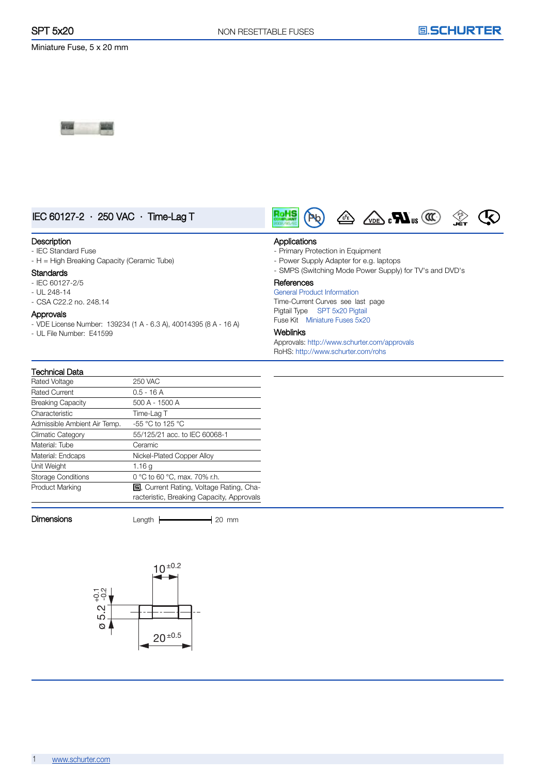

## IEC 60127-2 · 250 VAC · Time-Lag T

#### **Description**

- IEC Standard Fuse
- H = High Breaking Capacity (Ceramic Tube)

#### **Standards**

- IEC 60127-2/5

Technical Data

- UL 248-14
- CSA C22.2 no. 248.14

### Approvals

- VDE License Number: 139234 (1 A - 6.3 A), 40014395 (8 A - 16 A)

- UL File Number: E41599





#### Applications

- Primary Protection in Equipment
- Power Supply Adapter for e.g. laptops
- SMPS (Switching Mode Power Supply) for TV's and DVD's

#### **References**

General Product [Information](GS_general_product_information.pdf) Time-Current Curves see last page Pigtail Type SPT 5x20 [Pigtail](typ_SPT_5x20_Pigtail.pdf) Fuse Kit [Miniature](typ_Miniature_Fuses_5x20.pdf) Fuses 5x20

#### Weblinks

Approvals: <http://www.schurter.com/approvals> RoHS: <http://www.schurter.com/rohs>

| TUJI INGI LALA               |                                                                                      |
|------------------------------|--------------------------------------------------------------------------------------|
| Rated Voltage                | <b>250 VAC</b>                                                                       |
| <b>Rated Current</b>         | $0.5 - 16A$                                                                          |
| <b>Breaking Capacity</b>     | 500 A - 1500 A                                                                       |
| Characteristic               | Time-Lag T                                                                           |
| Admissible Ambient Air Temp. | -55 °C to 125 °C                                                                     |
| <b>Climatic Category</b>     | 55/125/21 acc. to IEC 60068-1                                                        |
| Material: Tube               | Ceramic                                                                              |
| Material: Endcaps            | Nickel-Plated Copper Alloy                                                           |
| Unit Weight                  | 1.16q                                                                                |
| <b>Storage Conditions</b>    | 0 °C to 60 °C, max. 70% r.h.                                                         |
| Product Marking              | 5. Current Rating, Voltage Rating, Cha-<br>racteristic, Breaking Capacity, Approvals |

Dimensions Length **Length** 20 mm

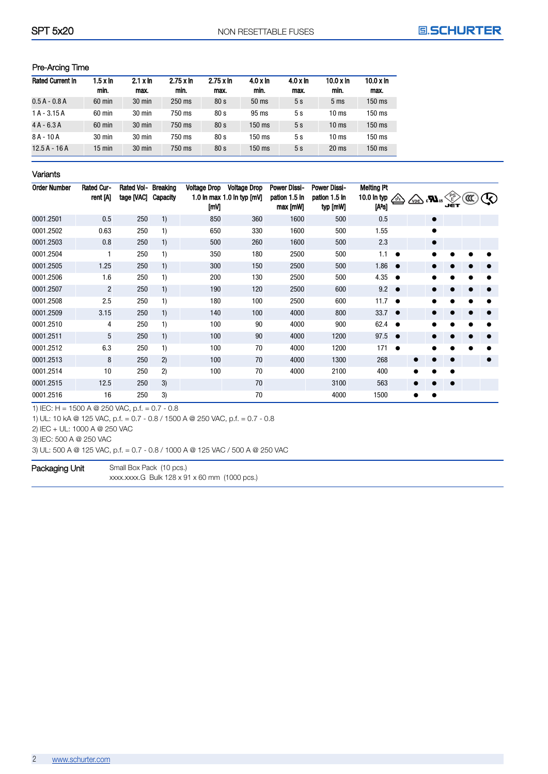## Pre-Arcing Time

| <b>Rated Current In</b> | $1.5 \times ln$<br>min. | $2.1 \times \ln$<br>max. | $2.75 \times \ln$<br>min. | $2.75 \times \ln$<br>max. | $4.0 \times \ln$<br>min. | $4.0 \times h$<br>max. | $10.0 \times \ln$<br>min. | $10.0 \times \ln$<br>max. |
|-------------------------|-------------------------|--------------------------|---------------------------|---------------------------|--------------------------|------------------------|---------------------------|---------------------------|
| $0.5 A - 0.8 A$         | $60$ min                | $30$ min                 | $250$ ms                  | 80s                       | 50 <sub>ms</sub>         | 5s                     | 5 <sub>ms</sub>           | 150 ms                    |
| $1A - 3.15A$            | $60$ min                | $30 \text{ min}$         | 750 ms                    | 80s                       | $95 \text{ ms}$          | 5s                     | $10 \text{ ms}$           | $150$ ms                  |
| $4A - 6.3A$             | $60$ min                | $30 \text{ min}$         | 750 ms                    | 80s                       | $150 \text{ ms}$         | 5s                     | $10 \text{ ms}$           | $150$ ms                  |
| $8A - 10A$              | $30 \text{ min}$        | 30 min                   | 750 ms                    | 80 s                      | $150$ ms                 | 5s                     | 10 <sub>ms</sub>          | $150$ ms                  |
| $12.5A - 16A$           | $15 \text{ min}$        | $30$ min                 | 750 ms                    | 80s                       | $150$ ms                 | 5s                     | $20 \text{ ms}$           | 150 ms                    |

### Variants

| <b>Order Number</b> | <b>Rated Cur-</b><br>rent [A] | <b>Rated Vol-</b><br>tage [VAC] | Breaking<br>Capacity | <b>Voltage Drop</b><br>[mV] | <b>Voltage Drop</b><br>1.0 In max 1.0 In typ [mV] | <b>Power Dissi-</b><br>pation 1.5 In<br>max [mW] | <b>Power Dissi-</b><br>pation 1.5 In<br>typ [mW] | Melting Pt<br>10.0 In typ<br>[A <sup>2</sup> s] | $\frac{1}{2}$ | $\sqrt{\sum_{VDE}}$ : $\blacksquare$ |           | ∕PS<br>∖E<br>JĖT |  |
|---------------------|-------------------------------|---------------------------------|----------------------|-----------------------------|---------------------------------------------------|--------------------------------------------------|--------------------------------------------------|-------------------------------------------------|---------------|--------------------------------------|-----------|------------------|--|
| 0001.2501           | 0.5                           | 250                             | 1)                   | 850                         | 360                                               | 1600                                             | 500                                              | 0.5                                             |               |                                      | $\bullet$ |                  |  |
| 0001.2502           | 0.63                          | 250                             | 1)                   | 650                         | 330                                               | 1600                                             | 500                                              | 1.55                                            |               |                                      | $\bullet$ |                  |  |
| 0001.2503           | 0.8                           | 250                             | 1)                   | 500                         | 260                                               | 1600                                             | 500                                              | 2.3                                             |               |                                      | $\bullet$ |                  |  |
| 0001.2504           | 1                             | 250                             | 1)                   | 350                         | 180                                               | 2500                                             | 500                                              | 1.1                                             | $\bullet$     |                                      | $\bullet$ |                  |  |
| 0001.2505           | 1.25                          | 250                             | 1)                   | 300                         | 150                                               | 2500                                             | 500                                              | 1.86                                            | $\bullet$     |                                      | ●         |                  |  |
| 0001.2506           | 1.6                           | 250                             | 1)                   | 200                         | 130                                               | 2500                                             | 500                                              | 4.35                                            | $\bullet$     |                                      |           |                  |  |
| 0001.2507           | $\overline{2}$                | 250                             | 1)                   | 190                         | 120                                               | 2500                                             | 600                                              | 9.2                                             | $\bullet$     |                                      | $\bullet$ |                  |  |
| 0001.2508           | 2.5                           | 250                             | 1)                   | 180                         | 100                                               | 2500                                             | 600                                              | 11.7                                            | $\bullet$     |                                      | $\bullet$ |                  |  |
| 0001.2509           | 3.15                          | 250                             | 1)                   | 140                         | 100                                               | 4000                                             | 800                                              | 33.7 $\bullet$                                  |               |                                      | ●         |                  |  |
| 0001.2510           | 4                             | 250                             | 1)                   | 100                         | 90                                                | 4000                                             | 900                                              | 62.4                                            | $\bullet$     |                                      |           |                  |  |
| 0001.2511           | 5                             | 250                             | 1)                   | 100                         | 90                                                | 4000                                             | 1200                                             | 97.5                                            | $\bullet$     |                                      | 0         |                  |  |
| 0001.2512           | 6.3                           | 250                             | 1)                   | 100                         | 70                                                | 4000                                             | 1200                                             | 171                                             | $\bullet$     |                                      |           |                  |  |
| 0001.2513           | 8                             | 250                             | 2)                   | 100                         | 70                                                | 4000                                             | 1300                                             | 268                                             |               |                                      |           |                  |  |
| 0001.2514           | 10                            | 250                             | 2)                   | 100                         | 70                                                | 4000                                             | 2100                                             | 400                                             |               | $\bullet$                            |           | $\bullet$        |  |
| 0001.2515           | 12.5                          | 250                             | 3)                   |                             | 70                                                |                                                  | 3100                                             | 563                                             |               |                                      |           |                  |  |
| 0001.2516           | 16                            | 250                             | 3)                   |                             | 70                                                |                                                  | 4000                                             | 1500                                            |               | $\bullet$                            | $\bullet$ |                  |  |

1) IEC: H = 1500 A @ 250 VAC, p.f. = 0.7 - 0.8

1) UL: 10 kA @ 125 VAC, p.f. = 0.7 - 0.8 / 1500 A @ 250 VAC, p.f. = 0.7 - 0.8

2) IEC + UL: 1000 A @ 250 VAC

3) IEC: 500 A @ 250 VAC

3) UL: 500 A @ 125 VAC, p.f. = 0.7 - 0.8 / 1000 A @ 125 VAC / 500 A @ 250 VAC

Packaging Unit Small Box Pack (10 pcs.) xxxx.xxxx.G Bulk 128 x 91 x 60 mm (1000 pcs.)